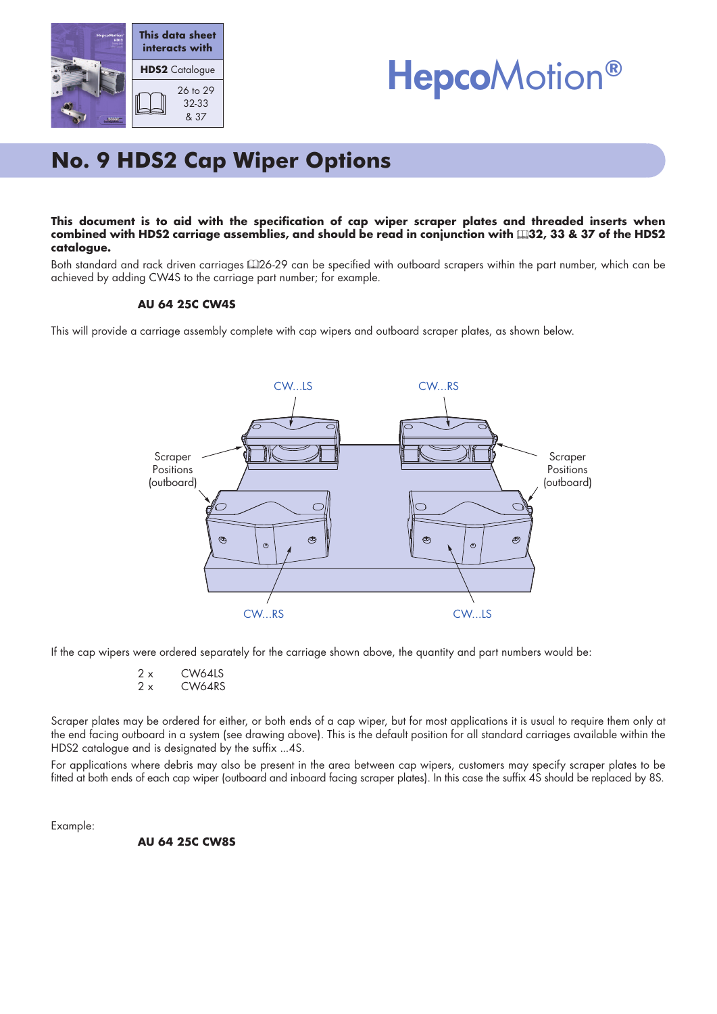



# **No. 9 HDS2 Cap Wiper Options**

### This document is to aid with the specification of cap wiper scraper plates and threaded inserts when combined with HDS2 carriage assemblies, and should be read in conjunction with 132, 33 & 37 of the HDS2 **catalogue.**

Both standard and rack driven carriages 426-29 can be specified with outboard scrapers within the part number, which can be achieved by adding CW4S to the carriage part number; for example.

### **AU 64 25C CW4S**

This will provide a carriage assembly complete with cap wipers and outboard scraper plates, as shown below.



If the cap wipers were ordered separately for the carriage shown above, the quantity and part numbers would be:

- 2 x CW64LS
- 2 x CW64RS

Scraper plates may be ordered for either, or both ends of a cap wiper, but for most applications it is usual to require them only at the end facing outboard in a system (see drawing above). This is the default position for all standard carriages available within the HDS2 catalogue and is designated by the suffix ...4S.

For applications where debris may also be present in the area between cap wipers, customers may specify scraper plates to be fitted at both ends of each cap wiper (outboard and inboard facing scraper plates). In this case the suffix 4S should be replaced by 8S.

Example:

**AU 64 25C CW8S**